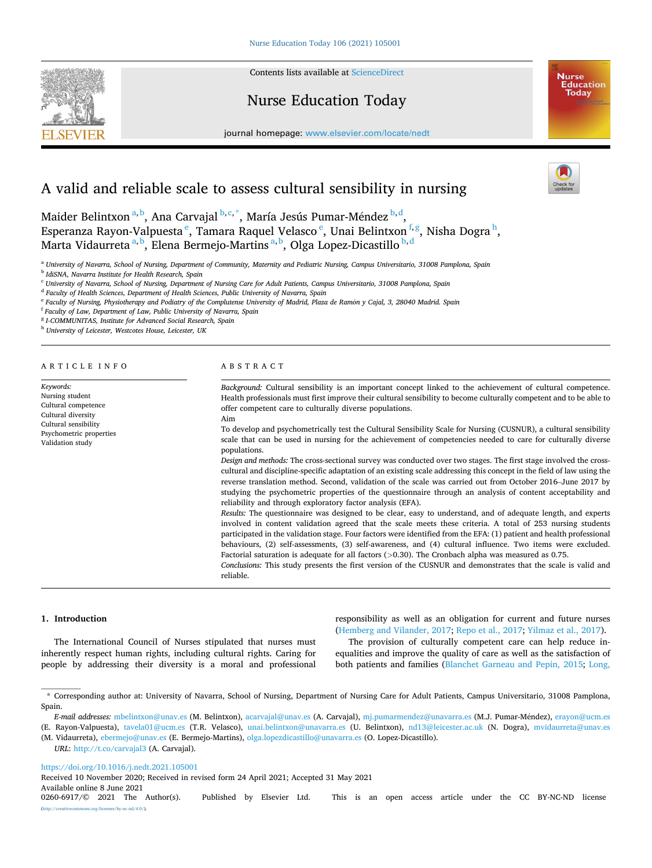**SEVIER** 



# Nurse Education Today

journal homepage: [www.elsevier.com/locate/nedt](https://www.elsevier.com/locate/nedt) 



# A valid and reliable scale to assess cultural sensibility in nursing

Maider Belintxon <sup>a, b</sup>, Ana Carvajal <sup>b, c, \*</sup>, María Jesús Pumar-Méndez <sup>b, d</sup>, Esperanza Rayon-Valpuesta<sup>e</sup>, Tamara Raquel Velasco<sup>e</sup>, Unai Belintxon<sup>f,g</sup>, Nisha Dogra<sup>h</sup>, Marta Vidaurreta <sup>a, b</sup>, Elena Bermejo-Martins <sup>a, b</sup>, Olga Lopez-Dicastillo <sup>b, d</sup>

<sup>a</sup> *University of Navarra, School of Nursing, Department of Community, Maternity and Pediatric Nursing, Campus Universitario, 31008 Pamplona, Spain* 

<sup>b</sup> *IdiSNA, Navarra Institute for Health Research, Spain* 

<sup>c</sup> *University of Navarra, School of Nursing, Department of Nursing Care for Adult Patients, Campus Universitario, 31008 Pamplona, Spain* 

<sup>d</sup> *Faculty of Health Sciences, Department of Health Sciences, Public University of Navarra, Spain* 

<sup>e</sup> Faculty of Nursing, Physiotherapy and Podiatry of the Complutense University of Madrid, Plaza de Ramón y Cajal, 3, 28040 Madrid. Spain

<sup>f</sup> *Faculty of Law, Department of Law, Public University of Navarra, Spain* 

<sup>g</sup> *I-COMMUNITAS, Institute for Advanced Social Research, Spain* 

<sup>h</sup> *University of Leicester, Westcotes House, Leicester, UK* 

#### ARTICLE INFO

*Keywords:*  Nursing student Cultural competence Cultural diversity Cultural sensibility Psychometric properties Validation study

#### ABSTRACT

*Background:* Cultural sensibility is an important concept linked to the achievement of cultural competence. Health professionals must first improve their cultural sensibility to become culturally competent and to be able to offer competent care to culturally diverse populations. Aim

To develop and psychometrically test the Cultural Sensibility Scale for Nursing (CUSNUR), a cultural sensibility scale that can be used in nursing for the achievement of competencies needed to care for culturally diverse populations.

*Design and methods:* The cross-sectional survey was conducted over two stages. The first stage involved the crosscultural and discipline-specific adaptation of an existing scale addressing this concept in the field of law using the reverse translation method. Second, validation of the scale was carried out from October 2016–June 2017 by studying the psychometric properties of the questionnaire through an analysis of content acceptability and reliability and through exploratory factor analysis (EFA).

*Results:* The questionnaire was designed to be clear, easy to understand, and of adequate length, and experts involved in content validation agreed that the scale meets these criteria. A total of 253 nursing students participated in the validation stage. Four factors were identified from the EFA: (1) patient and health professional behaviours, (2) self-assessments, (3) self-awareness, and (4) cultural influence. Two items were excluded. Factorial saturation is adequate for all factors (*>*0.30). The Cronbach alpha was measured as 0.75.

*Conclusions:* This study presents the first version of the CUSNUR and demonstrates that the scale is valid and reliable.

#### **1. Introduction**

The International Council of Nurses stipulated that nurses must inherently respect human rights, including cultural rights. Caring for people by addressing their diversity is a moral and professional

responsibility as well as an obligation for current and future nurses ([Hemberg and Vilander, 2017](#page-7-0); [Repo et al., 2017; Yilmaz et al., 2017](#page-8-0)).

The provision of culturally competent care can help reduce inequalities and improve the quality of care as well as the satisfaction of both patients and families ([Blanchet Garneau and Pepin, 2015;](#page-7-0) [Long,](#page-7-0) 

*URL*:<http://t.co/carvajal3>(A. Carvajal).

<https://doi.org/10.1016/j.nedt.2021.105001>

Available online 8 June 2021<br>0260-6917/© 2021 The Author(s). Received 10 November 2020; Received in revised form 24 April 2021; Accepted 31 May 2021

<sup>\*</sup> Corresponding author at: University of Navarra, School of Nursing, Department of Nursing Care for Adult Patients, Campus Universitario, 31008 Pamplona, Spain.

*E-mail addresses:* [mbelintxon@unav.es](mailto:mbelintxon@unav.es) (M. Belintxon), [acarvajal@unav.es](mailto:acarvajal@unav.es) (A. Carvajal), [mj.pumarmendez@unavarra.es](mailto:mj.pumarmendez@unavarra.es) (M.J. Pumar-M´endez), [erayon@ucm.es](mailto:erayon@ucm.es)  (E. Rayon-Valpuesta), [tavela01@ucm.es](mailto:tavela01@ucm.es) (T.R. Velasco), [unai.belintxon@unavarra.es](mailto:unai.belintxon@unavarra.es) (U. Belintxon), [nd13@leicester.ac.uk](mailto:nd13@leicester.ac.uk) (N. Dogra), [mvidaurreta@unav.es](mailto:mvidaurreta@unav.es) 

<sup>(</sup>M. Vidaurreta), [ebermejo@unav.es](mailto:ebermejo@unav.es) (E. Bermejo-Martins), [olga.lopezdicastillo@unavarra.es](mailto:olga.lopezdicastillo@unavarra.es) (O. Lopez-Dicastillo).

Published by Elsevier Ltd. This is an open access article under the CC BY-NC-ND license (a).org/licenses/by-nc-nd/4.0.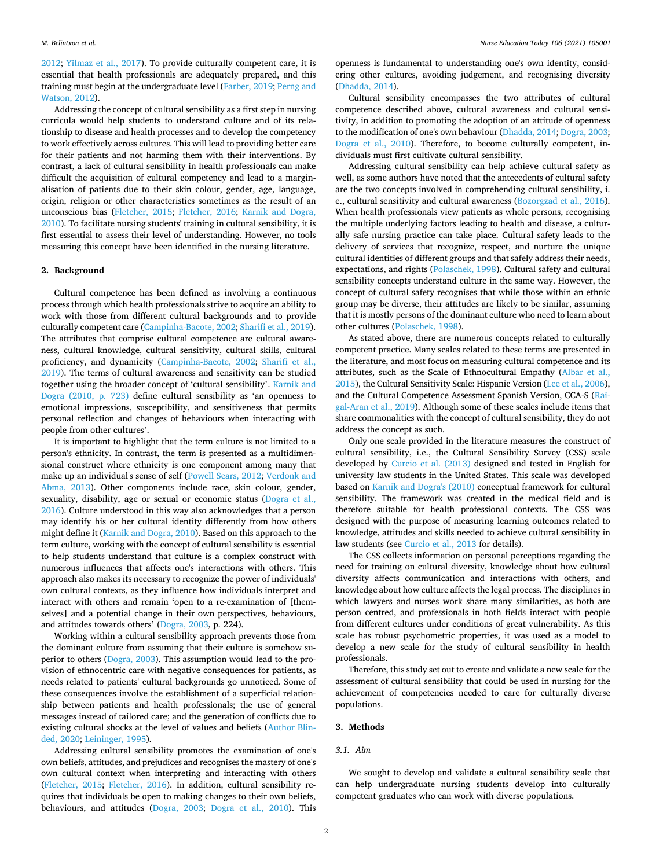[2012;](#page-7-0) [Yilmaz et al., 2017\)](#page-8-0). To provide culturally competent care, it is essential that health professionals are adequately prepared, and this training must begin at the undergraduate level [\(Farber, 2019](#page-7-0); [Perng and](#page-7-0)  [Watson, 2012](#page-7-0)).

Addressing the concept of cultural sensibility as a first step in nursing curricula would help students to understand culture and of its relationship to disease and health processes and to develop the competency to work effectively across cultures. This will lead to providing better care for their patients and not harming them with their interventions. By contrast, a lack of cultural sensibility in health professionals can make difficult the acquisition of cultural competency and lead to a marginalisation of patients due to their skin colour, gender, age, language, origin, religion or other characteristics sometimes as the result of an unconscious bias ([Fletcher, 2015](#page-7-0); [Fletcher, 2016;](#page-7-0) [Karnik and Dogra,](#page-7-0)  [2010\)](#page-7-0). To facilitate nursing students' training in cultural sensibility, it is first essential to assess their level of understanding. However, no tools measuring this concept have been identified in the nursing literature.

#### **2. Background**

Cultural competence has been defined as involving a continuous process through which health professionals strive to acquire an ability to work with those from different cultural backgrounds and to provide culturally competent care ([Campinha-Bacote, 2002](#page-7-0); [Sharifi et al., 2019](#page-8-0)). The attributes that comprise cultural competence are cultural awareness, cultural knowledge, cultural sensitivity, cultural skills, cultural proficiency, and dynamicity [\(Campinha-Bacote, 2002](#page-7-0); [Sharifi et al.,](#page-8-0)  [2019\)](#page-8-0). The terms of cultural awareness and sensitivity can be studied together using the broader concept of 'cultural sensibility'. [Karnik and](#page-7-0)  [Dogra \(2010, p. 723\)](#page-7-0) define cultural sensibility as 'an openness to emotional impressions, susceptibility, and sensitiveness that permits personal reflection and changes of behaviours when interacting with people from other cultures'.

It is important to highlight that the term culture is not limited to a person's ethnicity. In contrast, the term is presented as a multidimensional construct where ethnicity is one component among many that make up an individual's sense of self ([Powell Sears, 2012;](#page-7-0) [Verdonk and](#page-8-0)  [Abma, 2013\)](#page-8-0). Other components include race, skin colour, gender, sexuality, disability, age or sexual or economic status (Dogra et al., [2016\)](#page-7-0). Culture understood in this way also acknowledges that a person may identify his or her cultural identity differently from how others might define it [\(Karnik and Dogra, 2010](#page-7-0)). Based on this approach to the term culture, working with the concept of cultural sensibility is essential to help students understand that culture is a complex construct with numerous influences that affects one's interactions with others. This approach also makes its necessary to recognize the power of individuals' own cultural contexts, as they influence how individuals interpret and interact with others and remain 'open to a re-examination of [themselves] and a potential change in their own perspectives, behaviours, and attitudes towards others' ([Dogra, 2003](#page-7-0), p. 224).

Working within a cultural sensibility approach prevents those from the dominant culture from assuming that their culture is somehow superior to others [\(Dogra, 2003\)](#page-7-0). This assumption would lead to the provision of ethnocentric care with negative consequences for patients, as needs related to patients' cultural backgrounds go unnoticed. Some of these consequences involve the establishment of a superficial relationship between patients and health professionals; the use of general messages instead of tailored care; and the generation of conflicts due to existing cultural shocks at the level of values and beliefs ([Author Blin](#page-7-0)[ded, 2020](#page-7-0); [Leininger, 1995\)](#page-7-0).

Addressing cultural sensibility promotes the examination of one's own beliefs, attitudes, and prejudices and recognises the mastery of one's own cultural context when interpreting and interacting with others ([Fletcher, 2015](#page-7-0); [Fletcher, 2016](#page-7-0)). In addition, cultural sensibility requires that individuals be open to making changes to their own beliefs, behaviours, and attitudes ([Dogra, 2003;](#page-7-0) [Dogra et al., 2010\)](#page-7-0). This

openness is fundamental to understanding one's own identity, considering other cultures, avoiding judgement, and recognising diversity ([Dhadda, 2014](#page-7-0)).

Cultural sensibility encompasses the two attributes of cultural competence described above, cultural awareness and cultural sensitivity, in addition to promoting the adoption of an attitude of openness to the modification of one's own behaviour [\(Dhadda, 2014](#page-7-0); [Dogra, 2003](#page-7-0); [Dogra et al., 2010](#page-7-0)). Therefore, to become culturally competent, individuals must first cultivate cultural sensibility.

Addressing cultural sensibility can help achieve cultural safety as well, as some authors have noted that the antecedents of cultural safety are the two concepts involved in comprehending cultural sensibility, i. e., cultural sensitivity and cultural awareness ([Bozorgzad et al., 2016](#page-7-0)). When health professionals view patients as whole persons, recognising the multiple underlying factors leading to health and disease, a culturally safe nursing practice can take place. Cultural safety leads to the delivery of services that recognize, respect, and nurture the unique cultural identities of different groups and that safely address their needs, expectations, and rights ([Polaschek, 1998](#page-7-0)). Cultural safety and cultural sensibility concepts understand culture in the same way. However, the concept of cultural safety recognises that while those within an ethnic group may be diverse, their attitudes are likely to be similar, assuming that it is mostly persons of the dominant culture who need to learn about other cultures [\(Polaschek, 1998\)](#page-7-0).

As stated above, there are numerous concepts related to culturally competent practice. Many scales related to these terms are presented in the literature, and most focus on measuring cultural competence and its attributes, such as the Scale of Ethnocultural Empathy ([Albar et al.,](#page-7-0)  [2015\)](#page-7-0), the Cultural Sensitivity Scale: Hispanic Version ([Lee et al., 2006](#page-7-0)), and the Cultural Competence Assessment Spanish Version, CCA-S [\(Rai](#page-7-0)[gal-Aran et al., 2019](#page-7-0)). Although some of these scales include items that share commonalities with the concept of cultural sensibility, they do not address the concept as such.

Only one scale provided in the literature measures the construct of cultural sensibility, i.e., the Cultural Sensibility Survey (CSS) scale developed by [Curcio et al. \(2013\)](#page-7-0) designed and tested in English for university law students in the United States. This scale was developed based on [Karnik and Dogra's \(2010\)](#page-7-0) conceptual framework for cultural sensibility. The framework was created in the medical field and is therefore suitable for health professional contexts. The CSS was designed with the purpose of measuring learning outcomes related to knowledge, attitudes and skills needed to achieve cultural sensibility in law students (see [Curcio et al., 2013](#page-7-0) for details).

The CSS collects information on personal perceptions regarding the need for training on cultural diversity, knowledge about how cultural diversity affects communication and interactions with others, and knowledge about how culture affects the legal process. The disciplines in which lawyers and nurses work share many similarities, as both are person centred, and professionals in both fields interact with people from different cultures under conditions of great vulnerability. As this scale has robust psychometric properties, it was used as a model to develop a new scale for the study of cultural sensibility in health professionals.

Therefore, this study set out to create and validate a new scale for the assessment of cultural sensibility that could be used in nursing for the achievement of competencies needed to care for culturally diverse populations.

# **3. Methods**

# *3.1. Aim*

We sought to develop and validate a cultural sensibility scale that can help undergraduate nursing students develop into culturally competent graduates who can work with diverse populations.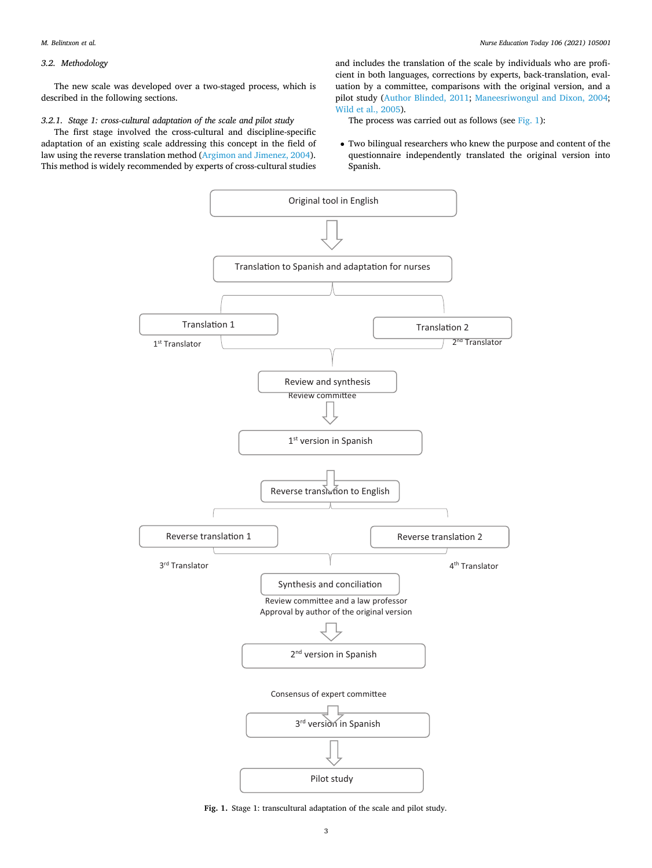# *3.2. Methodology*

The new scale was developed over a two-staged process, which is described in the following sections.

# *3.2.1. Stage 1: cross-cultural adaptation of the scale and pilot study*

The first stage involved the cross-cultural and discipline-specific adaptation of an existing scale addressing this concept in the field of law using the reverse translation method ([Argimon and Jimenez, 2004](#page-7-0)). This method is widely recommended by experts of cross-cultural studies and includes the translation of the scale by individuals who are proficient in both languages, corrections by experts, back-translation, evaluation by a committee, comparisons with the original version, and a pilot study [\(Author Blinded, 2011;](#page-7-0) [Maneesriwongul and Dixon, 2004](#page-7-0); [Wild et al., 2005\)](#page-8-0).

The process was carried out as follows (see Fig. 1):

• Two bilingual researchers who knew the purpose and content of the questionnaire independently translated the original version into Spanish.



**Fig. 1.** Stage 1: transcultural adaptation of the scale and pilot study.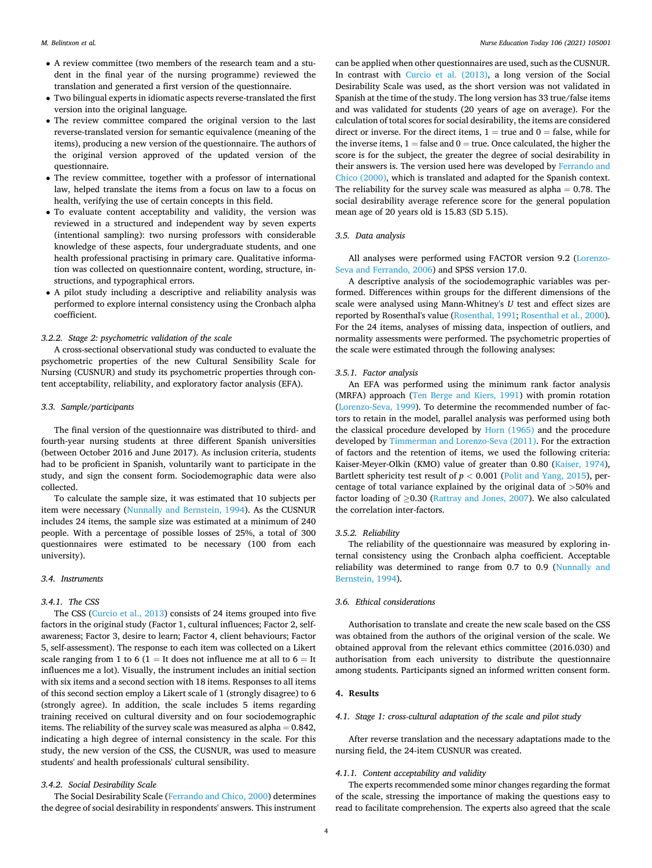- A review committee (two members of the research team and a student in the final year of the nursing programme) reviewed the translation and generated a first version of the questionnaire.
- Two bilingual experts in idiomatic aspects reverse-translated the first version into the original language.
- The review committee compared the original version to the last reverse-translated version for semantic equivalence (meaning of the items), producing a new version of the questionnaire. The authors of the original version approved of the updated version of the questionnaire.
- The review committee, together with a professor of international law, helped translate the items from a focus on law to a focus on health, verifying the use of certain concepts in this field.
- To evaluate content acceptability and validity, the version was reviewed in a structured and independent way by seven experts (intentional sampling): two nursing professors with considerable knowledge of these aspects, four undergraduate students, and one health professional practising in primary care. Qualitative information was collected on questionnaire content, wording, structure, instructions, and typographical errors.
- A pilot study including a descriptive and reliability analysis was performed to explore internal consistency using the Cronbach alpha coefficient.

# *3.2.2. Stage 2: psychometric validation of the scale*

A cross-sectional observational study was conducted to evaluate the psychometric properties of the new Cultural Sensibility Scale for Nursing (CUSNUR) and study its psychometric properties through content acceptability, reliability, and exploratory factor analysis (EFA).

#### *3.3. Sample/participants*

The final version of the questionnaire was distributed to third- and fourth-year nursing students at three different Spanish universities (between October 2016 and June 2017). As inclusion criteria, students had to be proficient in Spanish, voluntarily want to participate in the study, and sign the consent form. Sociodemographic data were also collected.

To calculate the sample size, it was estimated that 10 subjects per item were necessary [\(Nunnally and Bernstein, 1994\)](#page-7-0). As the CUSNUR includes 24 items, the sample size was estimated at a minimum of 240 people. With a percentage of possible losses of 25%, a total of 300 questionnaires were estimated to be necessary (100 from each university).

# *3.4. Instruments*

# *3.4.1. The CSS*

The CSS [\(Curcio et al., 2013](#page-7-0)) consists of 24 items grouped into five factors in the original study (Factor 1, cultural influences; Factor 2, selfawareness; Factor 3, desire to learn; Factor 4, client behaviours; Factor 5, self-assessment). The response to each item was collected on a Likert scale ranging from 1 to 6 (1 = It does not influence me at all to  $6 =$  It influences me a lot). Visually, the instrument includes an initial section with six items and a second section with 18 items. Responses to all items of this second section employ a Likert scale of 1 (strongly disagree) to 6 (strongly agree). In addition, the scale includes 5 items regarding training received on cultural diversity and on four sociodemographic items. The reliability of the survey scale was measured as alpha  $= 0.842$ , indicating a high degree of internal consistency in the scale. For this study, the new version of the CSS, the CUSNUR, was used to measure students' and health professionals' cultural sensibility.

# *3.4.2. Social Desirability Scale*

The Social Desirability Scale ([Ferrando and Chico, 2000\)](#page-7-0) determines the degree of social desirability in respondents' answers. This instrument

can be applied when other questionnaires are used, such as the CUSNUR. In contrast with [Curcio et al. \(2013\),](#page-7-0) a long version of the Social Desirability Scale was used, as the short version was not validated in Spanish at the time of the study. The long version has 33 true/false items and was validated for students (20 years of age on average). For the calculation of total scores for social desirability, the items are considered direct or inverse. For the direct items,  $1 =$  true and  $0 =$  false, while for the inverse items,  $1 =$  false and  $0 =$  true. Once calculated, the higher the score is for the subject, the greater the degree of social desirability in their answers is. The version used here was developed by [Ferrando and](#page-7-0)  [Chico \(2000\)](#page-7-0), which is translated and adapted for the Spanish context. The reliability for the survey scale was measured as  $alpha = 0.78$ . The social desirability average reference score for the general population mean age of 20 years old is 15.83 (SD 5.15).

#### *3.5. Data analysis*

All analyses were performed using FACTOR version 9.2 [\(Lorenzo-](#page-7-0)[Seva and Ferrando, 2006](#page-7-0)) and SPSS version 17.0.

A descriptive analysis of the sociodemographic variables was performed. Differences within groups for the different dimensions of the scale were analysed using Mann-Whitney's *U* test and effect sizes are reported by Rosenthal's value ([Rosenthal, 1991; Rosenthal et al., 2000](#page-8-0)). For the 24 items, analyses of missing data, inspection of outliers, and normality assessments were performed. The psychometric properties of the scale were estimated through the following analyses:

#### *3.5.1. Factor analysis*

An EFA was performed using the minimum rank factor analysis (MRFA) approach ([Ten Berge and Kiers, 1991\)](#page-8-0) with promin rotation ([Lorenzo-Seva, 1999\)](#page-7-0). To determine the recommended number of factors to retain in the model, parallel analysis was performed using both the classical procedure developed by [Horn \(1965\)](#page-7-0) and the procedure developed by [Timmerman and Lorenzo-Seva \(2011\)](#page-8-0). For the extraction of factors and the retention of items, we used the following criteria: Kaiser-Meyer-Olkin (KMO) value of greater than 0.80 [\(Kaiser, 1974](#page-7-0)), Bartlett sphericity test result of  $p < 0.001$  ([Polit and Yang, 2015\)](#page-7-0), percentage of total variance explained by the original data of *>*50% and factor loading of  $\geq$ 0.30 [\(Rattray and Jones, 2007](#page-8-0)). We also calculated the correlation inter-factors.

#### *3.5.2. Reliability*

The reliability of the questionnaire was measured by exploring internal consistency using the Cronbach alpha coefficient. Acceptable reliability was determined to range from 0.7 to 0.9 [\(Nunnally and](#page-7-0)  [Bernstein, 1994](#page-7-0)).

# *3.6. Ethical considerations*

Authorisation to translate and create the new scale based on the CSS was obtained from the authors of the original version of the scale. We obtained approval from the relevant ethics committee (2016.030) and authorisation from each university to distribute the questionnaire among students. Participants signed an informed written consent form.

# **4. Results**

#### *4.1. Stage 1: cross-cultural adaptation of the scale and pilot study*

After reverse translation and the necessary adaptations made to the nursing field, the 24-item CUSNUR was created.

# *4.1.1. Content acceptability and validity*

The experts recommended some minor changes regarding the format of the scale, stressing the importance of making the questions easy to read to facilitate comprehension. The experts also agreed that the scale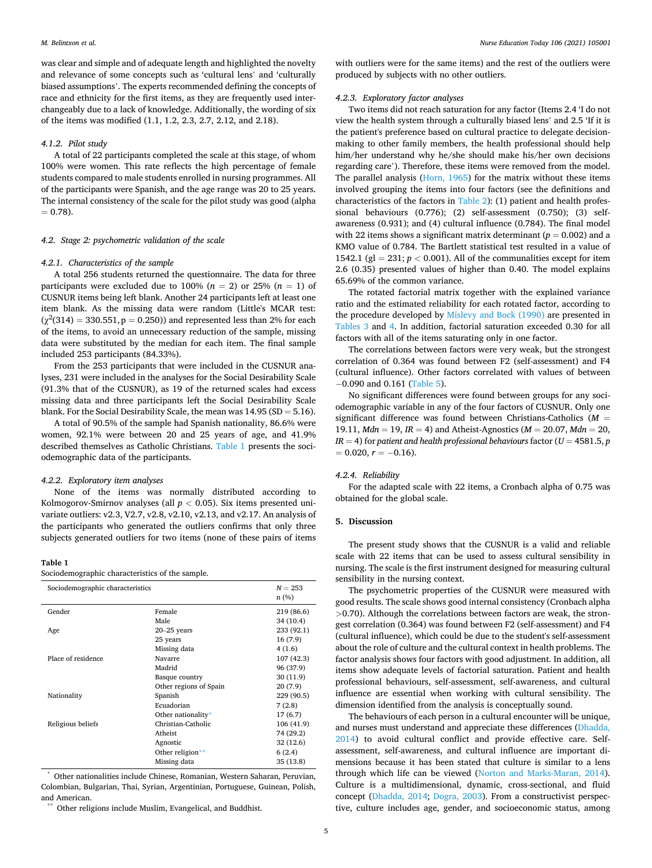was clear and simple and of adequate length and highlighted the novelty and relevance of some concepts such as 'cultural lens' and 'culturally biased assumptions'. The experts recommended defining the concepts of race and ethnicity for the first items, as they are frequently used interchangeably due to a lack of knowledge. Additionally, the wording of six of the items was modified (1.1, 1.2, 2.3, 2.7, 2.12, and 2.18).

#### *4.1.2. Pilot study*

A total of 22 participants completed the scale at this stage, of whom 100% were women. This rate reflects the high percentage of female students compared to male students enrolled in nursing programmes. All of the participants were Spanish, and the age range was 20 to 25 years. The internal consistency of the scale for the pilot study was good (alpha  $= 0.78$ .

# *4.2. Stage 2: psychometric validation of the scale*

### *4.2.1. Characteristics of the sample*

A total 256 students returned the questionnaire. The data for three participants were excluded due to 100% ( $n = 2$ ) or 25% ( $n = 1$ ) of CUSNUR items being left blank. Another 24 participants left at least one item blank. As the missing data were random (Little's MCAR test:  $(\chi^2(314) = 330.551, p = 0.250)$  and represented less than 2% for each of the items, to avoid an unnecessary reduction of the sample, missing data were substituted by the median for each item. The final sample included 253 participants (84.33%).

From the 253 participants that were included in the CUSNUR analyses, 231 were included in the analyses for the Social Desirability Scale (91.3% that of the CUSNUR), as 19 of the returned scales had excess missing data and three participants left the Social Desirability Scale blank. For the Social Desirability Scale, the mean was  $14.95$  (SD =  $5.16$ ).

A total of 90.5% of the sample had Spanish nationality, 86.6% were women, 92.1% were between 20 and 25 years of age, and 41.9% described themselves as Catholic Christians. Table 1 presents the sociodemographic data of the participants.

# *4.2.2. Exploratory item analyses*

None of the items was normally distributed according to Kolmogorov-Smirnov analyses (all  $p < 0.05$ ). Six items presented univariate outliers: v2.3, V2.7, v2.8, v2.10, v2.13, and v2.17. An analysis of the participants who generated the outliers confirms that only three subjects generated outliers for two items (none of these pairs of items

#### **Table 1**

Sociodemographic characteristics of the sample.

| Sociodemographic characteristics |                        | $N = 253$<br>n(%) |
|----------------------------------|------------------------|-------------------|
| Gender                           | Female                 | 219 (86.6)        |
|                                  | Male                   | 34 (10.4)         |
| Age                              | $20 - 25$ years        | 233 (92.1)        |
|                                  | 25 years               | 16(7.9)           |
|                                  | Missing data           | 4(1.6)            |
| Place of residence               | Navarre                | 107 (42.3)        |
|                                  | Madrid                 | 96 (37.9)         |
|                                  | Basque country         | 30(11.9)          |
|                                  | Other regions of Spain | 20(7.9)           |
| Nationality                      | Spanish                | 229 (90.5)        |
|                                  | Ecuadorian             | 7(2.8)            |
|                                  | Other nationality*     | 17(6.7)           |
| Religious beliefs                | Christian-Catholic     | 106 (41.9)        |
|                                  | Atheist                | 74 (29.2)         |
|                                  | Agnostic               | 32(12.6)          |
|                                  | Other religion**       | 6(2.4)            |
|                                  | Missing data           | 35 (13.8)         |

\* Other nationalities include Chinese, Romanian, Western Saharan, Peruvian, Colombian, Bulgarian, Thai, Syrian, Argentinian, Portuguese, Guinean, Polish, and American.<br>\*\* Other religions include Muslim, Evangelical, and Buddhist.

with outliers were for the same items) and the rest of the outliers were produced by subjects with no other outliers.

# *4.2.3. Exploratory factor analyses*

Two items did not reach saturation for any factor (Items 2.4 'I do not view the health system through a culturally biased lens' and 2.5 'If it is the patient's preference based on cultural practice to delegate decisionmaking to other family members, the health professional should help him/her understand why he/she should make his/her own decisions regarding care'). Therefore, these items were removed from the model. The parallel analysis [\(Horn, 1965\)](#page-7-0) for the matrix without these items involved grouping the items into four factors (see the definitions and characteristics of the factors in [Table 2](#page-5-0)): (1) patient and health professional behaviours (0.776); (2) self-assessment (0.750); (3) selfawareness (0.931); and (4) cultural influence (0.784). The final model with 22 items shows a significant matrix determinant  $(p = 0.002)$  and a KMO value of 0.784. The Bartlett statistical test resulted in a value of 1542.1 (gl = 231;  $p < 0.001$ ). All of the communalities except for item 2.6 (0.35) presented values of higher than 0.40. The model explains 65.69% of the common variance.

The rotated factorial matrix together with the explained variance ratio and the estimated reliability for each rotated factor, according to the procedure developed by [Mislevy and Bock \(1990\)](#page-7-0) are presented in [Tables 3](#page-5-0) and [4](#page-6-0). In addition, factorial saturation exceeded 0.30 for all factors with all of the items saturating only in one factor.

The correlations between factors were very weak, but the strongest correlation of 0.364 was found between F2 (self-assessment) and F4 (cultural influence). Other factors correlated with values of between − 0.090 and 0.161 [\(Table 5\)](#page-6-0).

No significant differences were found between groups for any sociodemographic variable in any of the four factors of CUSNUR. Only one significant difference was found between Christians-Catholics (*M* = 19.11, *Mdn* = 19, *IR* = 4) and Atheist-Agnostics (*M* = 20.07, *Mdn* = 20,  $IR = 4$ ) for patient and health professional behaviours factor ( $U = 4581.5, p$  $= 0.020, r = -0.16$ .

# *4.2.4. Reliability*

For the adapted scale with 22 items, a Cronbach alpha of 0.75 was obtained for the global scale.

# **5. Discussion**

The present study shows that the CUSNUR is a valid and reliable scale with 22 items that can be used to assess cultural sensibility in nursing. The scale is the first instrument designed for measuring cultural sensibility in the nursing context.

The psychometric properties of the CUSNUR were measured with good results. The scale shows good internal consistency (Cronbach alpha *>*0.70). Although the correlations between factors are weak, the strongest correlation (0.364) was found between F2 (self-assessment) and F4 (cultural influence), which could be due to the student's self-assessment about the role of culture and the cultural context in health problems. The factor analysis shows four factors with good adjustment. In addition, all items show adequate levels of factorial saturation. Patient and health professional behaviours, self-assessment, self-awareness, and cultural influence are essential when working with cultural sensibility. The dimension identified from the analysis is conceptually sound.

The behaviours of each person in a cultural encounter will be unique, and nurses must understand and appreciate these differences [\(Dhadda,](#page-7-0)  [2014\)](#page-7-0) to avoid cultural conflict and provide effective care. Selfassessment, self-awareness, and cultural influence are important dimensions because it has been stated that culture is similar to a lens through which life can be viewed [\(Norton and Marks-Maran, 2014](#page-7-0)). Culture is a multidimensional, dynamic, cross-sectional, and fluid concept [\(Dhadda, 2014;](#page-7-0) [Dogra, 2003\)](#page-7-0). From a constructivist perspective, culture includes age, gender, and socioeconomic status, among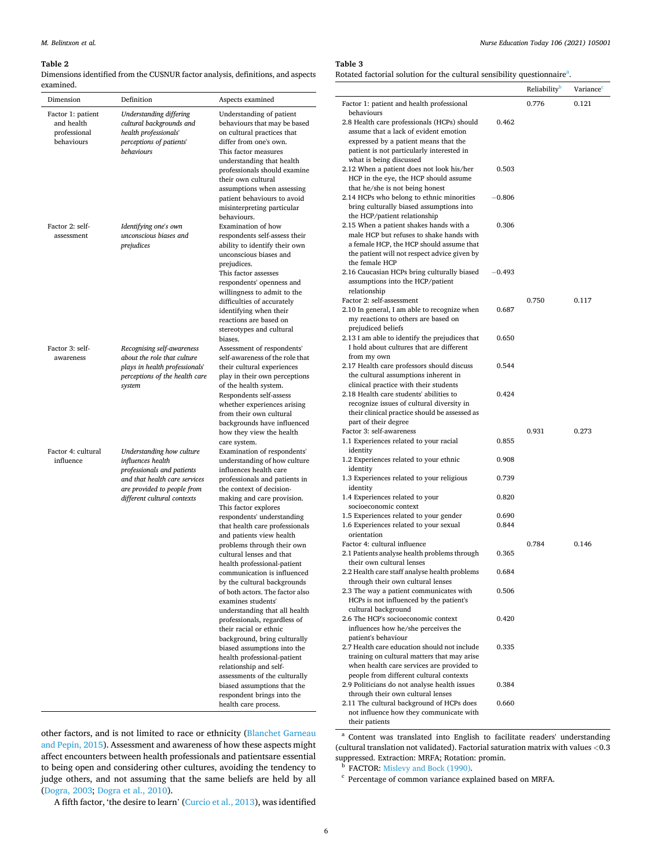#### <span id="page-5-0"></span>**Table 2**

 $\overline{\phantom{0}}$ 

Dimensions identified from the CUSNUR factor analysis, definitions, and aspects examined.

| Dimension                                                     | Definition                                                                                                                                                                  | Aspects examined                                                                                                                                                                                                                                                                                                                                                                                                                                                                                                                                                                                                                                                                                                                                                                                                                                              | Factor 1: patient and h                                                                                                                                                                                                                                                                                                                                                                                                                                                                                                                                                                                                                                                      |
|---------------------------------------------------------------|-----------------------------------------------------------------------------------------------------------------------------------------------------------------------------|---------------------------------------------------------------------------------------------------------------------------------------------------------------------------------------------------------------------------------------------------------------------------------------------------------------------------------------------------------------------------------------------------------------------------------------------------------------------------------------------------------------------------------------------------------------------------------------------------------------------------------------------------------------------------------------------------------------------------------------------------------------------------------------------------------------------------------------------------------------|------------------------------------------------------------------------------------------------------------------------------------------------------------------------------------------------------------------------------------------------------------------------------------------------------------------------------------------------------------------------------------------------------------------------------------------------------------------------------------------------------------------------------------------------------------------------------------------------------------------------------------------------------------------------------|
| Factor 1: patient<br>and health<br>professional<br>behaviours | Understanding differing<br>cultural backgrounds and<br>health professionals'<br>perceptions of patients'<br>behaviours                                                      | Understanding of patient<br>behaviours that may be based<br>on cultural practices that<br>differ from one's own.<br>This factor measures<br>understanding that health<br>professionals should examine<br>their own cultural<br>assumptions when assessing<br>patient behaviours to avoid<br>misinterpreting particular<br>behaviours.                                                                                                                                                                                                                                                                                                                                                                                                                                                                                                                         | behaviours<br>2.8 Health care profes<br>assume that a lack o<br>expressed by a patie<br>patient is not particu<br>what is being discus<br>2.12 When a patient d<br>HCP in the eye, the<br>that he/she is not be<br>2.14 HCPs who belong<br>bring culturally bias<br>the HCP/patient rela                                                                                                                                                                                                                                                                                                                                                                                     |
| Factor 2: self-<br>assessment                                 | Identifying one's own<br>unconscious biases and<br>prejudices                                                                                                               | Examination of how<br>respondents self-assess their<br>ability to identify their own<br>unconscious biases and<br>prejudices.<br>This factor assesses<br>respondents' openness and<br>willingness to admit to the<br>difficulties of accurately<br>identifying when their<br>reactions are based on<br>stereotypes and cultural<br>biases.                                                                                                                                                                                                                                                                                                                                                                                                                                                                                                                    | 2.15 When a patient sl<br>male HCP but refuse<br>a female HCP, the H<br>the patient will not r<br>the female HCP<br>2.16 Caucasian HCPs l<br>assumptions into the<br>relationship<br>Factor 2: self-assessme<br>2.10 In general, I am a<br>my reactions to othe<br>prejudiced beliefs<br>2.13 I am able to ident                                                                                                                                                                                                                                                                                                                                                             |
| Factor 3: self-<br>awareness                                  | Recognising self-awareness<br>about the role that culture<br>plays in health professionals'<br>perceptions of the health care<br>system                                     | Assessment of respondents'<br>self-awareness of the role that<br>their cultural experiences<br>play in their own perceptions<br>of the health system.<br>Respondents self-assess<br>whether experiences arising<br>from their own cultural<br>backgrounds have influenced<br>how they view the health<br>care system.                                                                                                                                                                                                                                                                                                                                                                                                                                                                                                                                         | I hold about culture:<br>from my own<br>2.17 Health care profe<br>the cultural assumpt<br>clinical practice with<br>2.18 Health care stude<br>recognize issues of c<br>their clinical practice<br>part of their degree<br>Factor 3: self-awarenes<br>1.1 Experiences related                                                                                                                                                                                                                                                                                                                                                                                                 |
| Factor 4: cultural<br>influence                               | Understanding how culture<br>influences health<br>professionals and patients<br>and that health care services<br>are provided to people from<br>different cultural contexts | Examination of respondents'<br>understanding of how culture<br>influences health care<br>professionals and patients in<br>the context of decision-<br>making and care provision.<br>This factor explores<br>respondents' understanding<br>that health care professionals<br>and patients view health<br>problems through their own<br>cultural lenses and that<br>health professional-patient<br>communication is influenced<br>by the cultural backgrounds<br>of both actors. The factor also<br>examines students'<br>understanding that all health<br>professionals, regardless of<br>their racial or ethnic<br>background, bring culturally<br>biased assumptions into the<br>health professional-patient<br>relationship and self-<br>assessments of the culturally<br>biased assumptions that the<br>respondent brings into the<br>health care process. | identity<br>1.2 Experiences related<br>identity<br>1.3 Experiences relate<br>identity<br>1.4 Experiences related<br>socioeconomic conte<br>1.5 Experiences related<br>1.6 Experiences related<br>orientation<br>Factor 4: cultural influ<br>2.1 Patients analyse he<br>their own cultural le<br>2.2 Health care staff an<br>through their own c<br>2.3 The way a patient<br>HCPs is not influenc<br>cultural background<br>2.6 The HCP's socioeco<br>influences how he/s<br>patient's behaviour<br>2.7 Health care educat<br>training on cultural<br>when health care set<br>people from differen<br>2.9 Politicians do not<br>through their own c<br>2.11 The cultural back |

*Nurse Education Today 106 (2021) 105001*

#### **Table 3**

Rotated factorial solution for the cultural sensibility questionnaire<sup>a</sup>.

|                                                                                            |          | Reliability | Variance |
|--------------------------------------------------------------------------------------------|----------|-------------|----------|
| Factor 1: patient and health professional<br>behaviours                                    |          | 0.776       | 0.121    |
| 2.8 Health care professionals (HCPs) should                                                | 0.462    |             |          |
| assume that a lack of evident emotion                                                      |          |             |          |
| expressed by a patient means that the                                                      |          |             |          |
| patient is not particularly interested in                                                  |          |             |          |
| what is being discussed                                                                    |          |             |          |
| 2.12 When a patient does not look his/her                                                  | 0.503    |             |          |
| HCP in the eye, the HCP should assume<br>that he/she is not being honest                   |          |             |          |
| 2.14 HCPs who belong to ethnic minorities                                                  | $-0.806$ |             |          |
| bring culturally biased assumptions into                                                   |          |             |          |
| the HCP/patient relationship                                                               |          |             |          |
| 2.15 When a patient shakes hands with a                                                    | 0.306    |             |          |
| male HCP but refuses to shake hands with                                                   |          |             |          |
| a female HCP, the HCP should assume that                                                   |          |             |          |
| the patient will not respect advice given by<br>the female HCP                             |          |             |          |
| 2.16 Caucasian HCPs bring culturally biased                                                | $-0.493$ |             |          |
| assumptions into the HCP/patient                                                           |          |             |          |
| relationship                                                                               |          |             |          |
| Factor 2: self-assessment                                                                  |          | 0.750       | 0.117    |
| 2.10 In general, I am able to recognize when                                               | 0.687    |             |          |
| my reactions to others are based on                                                        |          |             |          |
| prejudiced beliefs<br>2.13 I am able to identify the prejudices that                       | 0.650    |             |          |
| I hold about cultures that are different                                                   |          |             |          |
| from my own                                                                                |          |             |          |
| 2.17 Health care professors should discuss                                                 | 0.544    |             |          |
| the cultural assumptions inherent in                                                       |          |             |          |
| clinical practice with their students                                                      |          |             |          |
| 2.18 Health care students' abilities to                                                    | 0.424    |             |          |
| recognize issues of cultural diversity in<br>their clinical practice should be assessed as |          |             |          |
| part of their degree                                                                       |          |             |          |
| Factor 3: self-awareness                                                                   |          | 0.931       | 0.273    |
| 1.1 Experiences related to your racial                                                     | 0.855    |             |          |
| identity                                                                                   |          |             |          |
| 1.2 Experiences related to your ethnic                                                     | 0.908    |             |          |
| identity<br>1.3 Experiences related to your religious                                      | 0.739    |             |          |
| identity                                                                                   |          |             |          |
| 1.4 Experiences related to your                                                            | 0.820    |             |          |
| socioeconomic context                                                                      |          |             |          |
| 1.5 Experiences related to your gender                                                     | 0.690    |             |          |
| 1.6 Experiences related to your sexual                                                     | 0.844    |             |          |
| orientation<br>Factor 4: cultural influence                                                |          |             |          |
| 2.1 Patients analyse health problems through                                               | 0.365    | 0.784       | 0.146    |
| their own cultural lenses                                                                  |          |             |          |
| 2.2 Health care staff analyse health problems                                              | 0.684    |             |          |
| through their own cultural lenses                                                          |          |             |          |
| 2.3 The way a patient communicates with                                                    | 0.506    |             |          |
| HCPs is not influenced by the patient's                                                    |          |             |          |
| cultural background<br>2.6 The HCP's socioeconomic context                                 | 0.420    |             |          |
| influences how he/she perceives the                                                        |          |             |          |
| patient's behaviour                                                                        |          |             |          |
| 2.7 Health care education should not include                                               | 0.335    |             |          |
| training on cultural matters that may arise                                                |          |             |          |
| when health care services are provided to                                                  |          |             |          |
| people from different cultural contexts                                                    |          |             |          |
| 2.9 Politicians do not analyse health issues<br>through their own cultural lenses          | 0.384    |             |          |
| 2.11 The cultural background of HCPs does                                                  | 0.660    |             |          |
| not influence how they communicate with                                                    |          |             |          |
| their patients                                                                             |          |             |          |

other factors, and is not limited to race or ethnicity ([Blanchet Garneau](#page-7-0)  [and Pepin, 2015](#page-7-0)). Assessment and awareness of how these aspects might affect encounters between health professionals and patientsare essential to being open and considering other cultures, avoiding the tendency to judge others, and not assuming that the same beliefs are held by all ([Dogra, 2003](#page-7-0); [Dogra et al., 2010\)](#page-7-0).

<sup>a</sup> Content was translated into English to facilitate readers' understanding (cultural translation not validated). Factorial saturation matrix with values *<*0.3

**b** FACTOR: [Mislevy and Bock \(1990\)](#page-7-0).<br><sup>c</sup> Percentage of common variance explained based on MRFA.

A fifth factor, 'the desire to learn' [\(Curcio et al., 2013\)](#page-7-0), was identified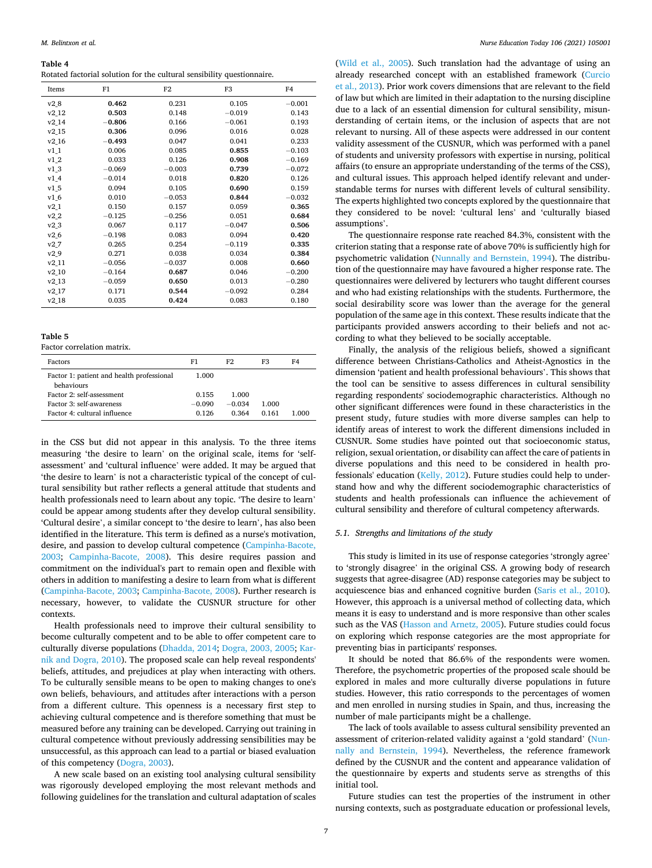#### <span id="page-6-0"></span>**Table 4**

Rotated factorial solution for the cultural sensibility questionnaire.

| Items             | F1       | F <sub>2</sub> | F3       | F4       |
|-------------------|----------|----------------|----------|----------|
| v2 8              | 0.462    | 0.231          | 0.105    | $-0.001$ |
| v2 12             | 0.503    | 0.148          | $-0.019$ | 0.143    |
| v214              | $-0.806$ | 0.166          | $-0.061$ | 0.193    |
| v2 15             | 0.306    | 0.096          | 0.016    | 0.028    |
| v <sub>2_16</sub> | $-0.493$ | 0.047          | 0.041    | 0.233    |
| $v1_1$            | 0.006    | 0.085          | 0.855    | $-0.103$ |
| $v1_2$            | 0.033    | 0.126          | 0.908    | $-0.169$ |
| v13               | $-0.069$ | $-0.003$       | 0.739    | $-0.072$ |
| v14               | $-0.014$ | 0.018          | 0.820    | 0.126    |
| v15               | 0.094    | 0.105          | 0.690    | 0.159    |
| v16               | 0.010    | $-0.053$       | 0.844    | $-0.032$ |
| $v2_1$            | 0.150    | 0.157          | 0.059    | 0.365    |
| $v2_2$            | $-0.125$ | $-0.256$       | 0.051    | 0.684    |
| $v2_3$            | 0.067    | 0.117          | $-0.047$ | 0.506    |
| $v2_6$            | $-0.198$ | 0.083          | 0.094    | 0.420    |
| v2.7              | 0.265    | 0.254          | $-0.119$ | 0.335    |
| v2.9              | 0.271    | 0.038          | 0.034    | 0.384    |
| v2 11             | $-0.056$ | $-0.037$       | 0.008    | 0.660    |
| $v2_10$           | $-0.164$ | 0.687          | 0.046    | $-0.200$ |
| v2 13             | $-0.059$ | 0.650          | 0.013    | $-0.280$ |
| v2_17             | 0.171    | 0.544          | $-0.092$ | 0.284    |
| v2 18             | 0.035    | 0.424          | 0.083    | 0.180    |

#### **Table 5**

Factor correlation matrix.

| Factors                                                 | F1       | F2.      | F3    | F4    |
|---------------------------------------------------------|----------|----------|-------|-------|
| Factor 1: patient and health professional<br>behaviours | 1.000    |          |       |       |
| Factor 2: self-assessment                               | 0.155    | 1.000    |       |       |
| Factor 3: self-awareness                                | $-0.090$ | $-0.034$ | 1.000 |       |
| Factor 4: cultural influence                            | 0.126    | 0.364    | 0.161 | 1.000 |

in the CSS but did not appear in this analysis. To the three items measuring 'the desire to learn' on the original scale, items for 'selfassessment' and 'cultural influence' were added. It may be argued that 'the desire to learn' is not a characteristic typical of the concept of cultural sensibility but rather reflects a general attitude that students and health professionals need to learn about any topic. 'The desire to learn' could be appear among students after they develop cultural sensibility. 'Cultural desire', a similar concept to 'the desire to learn', has also been identified in the literature. This term is defined as a nurse's motivation, desire, and passion to develop cultural competence ([Campinha-Bacote,](#page-7-0)  [2003;](#page-7-0) [Campinha-Bacote, 2008](#page-7-0)). This desire requires passion and commitment on the individual's part to remain open and flexible with others in addition to manifesting a desire to learn from what is different ([Campinha-Bacote, 2003](#page-7-0); [Campinha-Bacote, 2008\)](#page-7-0). Further research is necessary, however, to validate the CUSNUR structure for other contexts.

Health professionals need to improve their cultural sensibility to become culturally competent and to be able to offer competent care to culturally diverse populations [\(Dhadda, 2014](#page-7-0); [Dogra, 2003, 2005](#page-7-0); [Kar](#page-7-0)[nik and Dogra, 2010\)](#page-7-0). The proposed scale can help reveal respondents' beliefs, attitudes, and prejudices at play when interacting with others. To be culturally sensible means to be open to making changes to one's own beliefs, behaviours, and attitudes after interactions with a person from a different culture. This openness is a necessary first step to achieving cultural competence and is therefore something that must be measured before any training can be developed. Carrying out training in cultural competence without previously addressing sensibilities may be unsuccessful, as this approach can lead to a partial or biased evaluation of this competency ([Dogra, 2003\)](#page-7-0).

A new scale based on an existing tool analysing cultural sensibility was rigorously developed employing the most relevant methods and following guidelines for the translation and cultural adaptation of scales

([Wild et al., 2005\)](#page-8-0). Such translation had the advantage of using an already researched concept with an established framework ([Curcio](#page-7-0)  [et al., 2013](#page-7-0)). Prior work covers dimensions that are relevant to the field of law but which are limited in their adaptation to the nursing discipline due to a lack of an essential dimension for cultural sensibility, misunderstanding of certain items, or the inclusion of aspects that are not relevant to nursing. All of these aspects were addressed in our content validity assessment of the CUSNUR, which was performed with a panel of students and university professors with expertise in nursing, political affairs (to ensure an appropriate understanding of the terms of the CSS), and cultural issues. This approach helped identify relevant and understandable terms for nurses with different levels of cultural sensibility. The experts highlighted two concepts explored by the questionnaire that they considered to be novel: 'cultural lens' and 'culturally biased assumptions'.

The questionnaire response rate reached 84.3%, consistent with the criterion stating that a response rate of above 70% is sufficiently high for psychometric validation ([Nunnally and Bernstein, 1994](#page-7-0)). The distribution of the questionnaire may have favoured a higher response rate. The questionnaires were delivered by lecturers who taught different courses and who had existing relationships with the students. Furthermore, the social desirability score was lower than the average for the general population of the same age in this context. These results indicate that the participants provided answers according to their beliefs and not according to what they believed to be socially acceptable.

Finally, the analysis of the religious beliefs, showed a significant difference between Christians-Catholics and Atheist-Agnostics in the dimension 'patient and health professional behaviours'. This shows that the tool can be sensitive to assess differences in cultural sensibility regarding respondents' sociodemographic characteristics. Although no other significant differences were found in these characteristics in the present study, future studies with more diverse samples can help to identify areas of interest to work the different dimensions included in CUSNUR. Some studies have pointed out that socioeconomic status, religion, sexual orientation, or disability can affect the care of patients in diverse populations and this need to be considered in health professionals' education [\(Kelly, 2012\)](#page-7-0). Future studies could help to understand how and why the different sociodemographic characteristics of students and health professionals can influence the achievement of cultural sensibility and therefore of cultural competency afterwards.

# *5.1. Strengths and limitations of the study*

This study is limited in its use of response categories 'strongly agree' to 'strongly disagree' in the original CSS. A growing body of research suggests that agree-disagree (AD) response categories may be subject to acquiescence bias and enhanced cognitive burden [\(Saris et al., 2010](#page-8-0)). However, this approach is a universal method of collecting data, which means it is easy to understand and is more responsive than other scales such as the VAS ([Hasson and Arnetz, 2005](#page-7-0)). Future studies could focus on exploring which response categories are the most appropriate for preventing bias in participants' responses.

It should be noted that 86.6% of the respondents were women. Therefore, the psychometric properties of the proposed scale should be explored in males and more culturally diverse populations in future studies. However, this ratio corresponds to the percentages of women and men enrolled in nursing studies in Spain, and thus, increasing the number of male participants might be a challenge.

The lack of tools available to assess cultural sensibility prevented an assessment of criterion-related validity against a 'gold standard' [\(Nun](#page-7-0)[nally and Bernstein, 1994\)](#page-7-0). Nevertheless, the reference framework defined by the CUSNUR and the content and appearance validation of the questionnaire by experts and students serve as strengths of this initial tool.

Future studies can test the properties of the instrument in other nursing contexts, such as postgraduate education or professional levels,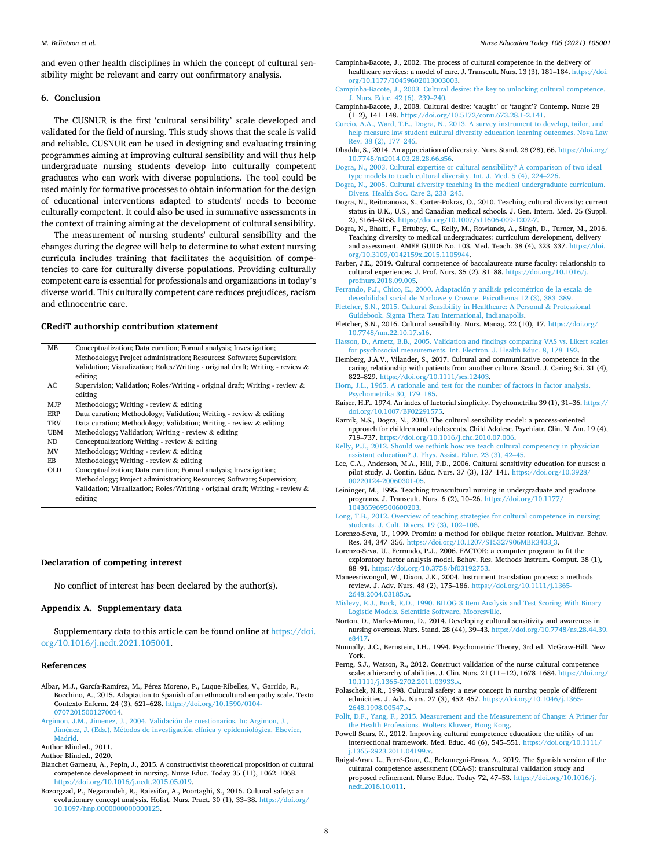<span id="page-7-0"></span>and even other health disciplines in which the concept of cultural sensibility might be relevant and carry out confirmatory analysis.

# **6. Conclusion**

The CUSNUR is the first 'cultural sensibility' scale developed and validated for the field of nursing. This study shows that the scale is valid and reliable. CUSNUR can be used in designing and evaluating training programmes aiming at improving cultural sensibility and will thus help undergraduate nursing students develop into culturally competent graduates who can work with diverse populations. The tool could be used mainly for formative processes to obtain information for the design of educational interventions adapted to students' needs to become culturally competent. It could also be used in summative assessments in the context of training aiming at the development of cultural sensibility.

The measurement of nursing students' cultural sensibility and the changes during the degree will help to determine to what extent nursing curricula includes training that facilitates the acquisition of competencies to care for culturally diverse populations. Providing culturally competent care is essential for professionals and organizations in today's diverse world. This culturally competent care reduces prejudices, racism and ethnocentric care.

# **CRediT authorship contribution statement**

| MВ                 | Conceptualization; Data curation; Formal analysis; Investigation;             |
|--------------------|-------------------------------------------------------------------------------|
|                    | Methodology; Project administration; Resources; Software; Supervision;        |
|                    | Validation; Visualization; Roles/Writing - original draft; Writing - review & |
|                    | editing                                                                       |
| $\Lambda$ $\Gamma$ | Supervision: Validation: Poles (Writing original draft: Writing review &      |

- 1; Validation; Roles/Writing original draft; Writing review & editing
- MJP Methodology; Writing review & editing
- ERP Data curation; Methodology; Validation; Writing review & editing
- TRV Data curation; Methodology; Validation; Writing review & editing
- UBM Methodology; Validation; Writing review & editing
- ND Conceptualization; Writing review & editing
- MV Methodology; Writing review & editing
- EB Methodology; Writing review & editing
- OLD Conceptualization; Data curation; Formal analysis; Investigation; Methodology; Project administration; Resources; Software; Supervision; Validation; Visualization; Roles/Writing - original draft; Writing - review & editing

#### **Declaration of competing interest**

No conflict of interest has been declared by the author(s).

# **Appendix A. Supplementary data**

Supplementary data to this article can be found online at [https://doi.](https://doi.org/10.1016/j.nedt.2021.105001)  [org/10.1016/j.nedt.2021.105001.](https://doi.org/10.1016/j.nedt.2021.105001)

#### **References**

- Albar, M.J., García-Ramírez, M., Pérez Moreno, P., Luque-Ribelles, V., Garrido, R., Bocchino, A., 2015. Adaptation to Spanish of an ethnocultural empathy scale. Texto Contexto Enferm. 24 (3), 621–628. [https://doi.org/10.1590/0104-](https://doi.org/10.1590/0104-07072015001270014)  [07072015001270014.](https://doi.org/10.1590/0104-07072015001270014)
- Argimon, J.M., Jimenez, J., 2004. Validación de cuestionarios. In: Argimon, J., Jiménez, J. (Eds.), Métodos de investigación clínica y epidemiológica. Elsevier, [Madrid.](http://refhub.elsevier.com/S0260-6917(21)00258-6/rf0010)
- Author Blinded., 2011.

- Blanchet Garneau, A., Pepin, J., 2015. A constructivist theoretical proposition of cultural competence development in nursing. Nurse Educ. Today 35 (11), 1062–1068. <https://doi.org/10.1016/j.nedt.2015.05.019>.
- Bozorgzad, P., Negarandeh, R., Raiesifar, A., Poortaghi, S., 2016. Cultural safety: an evolutionary concept analysis. Holist. Nurs. Pract. 30 (1), 33-38. [https://doi.org/](https://doi.org/10.1097/hnp.0000000000000125) [10.1097/hnp.0000000000000125](https://doi.org/10.1097/hnp.0000000000000125).
- Campinha-Bacote, J., 2002. The process of cultural competence in the delivery of healthcare services: a model of care. J. Transcult. Nurs. 13 (3), 181–184. [https://doi.](https://doi.org/10.1177/10459602013003003)  [org/10.1177/10459602013003003](https://doi.org/10.1177/10459602013003003).
- [Campinha-Bacote, J., 2003. Cultural desire: the key to unlocking cultural competence.](http://refhub.elsevier.com/S0260-6917(21)00258-6/rf0030) [J. Nurs. Educ. 42 \(6\), 239](http://refhub.elsevier.com/S0260-6917(21)00258-6/rf0030)–240.
- Campinha-Bacote, J., 2008. Cultural desire: 'caught' or 'taught'? Contemp. Nurse 28 (1–2), 141–148. [https://doi.org/10.5172/conu.673.28.1-2.141.](https://doi.org/10.5172/conu.673.28.1-2.141)
- [Curcio, A.A., Ward, T.E., Dogra, N., 2013. A survey instrument to develop, tailor, and](http://refhub.elsevier.com/S0260-6917(21)00258-6/rf0040)  [help measure law student cultural diversity education learning outcomes. Nova Law](http://refhub.elsevier.com/S0260-6917(21)00258-6/rf0040)  [Rev. 38 \(2\), 177](http://refhub.elsevier.com/S0260-6917(21)00258-6/rf0040)–246.
- Dhadda, S., 2014. An appreciation of diversity. Nurs. Stand. 28 (28), 66. [https://doi.org/](https://doi.org/10.7748/ns2014.03.28.28.66.s56)  [10.7748/ns2014.03.28.28.66.s56.](https://doi.org/10.7748/ns2014.03.28.28.66.s56)
- [Dogra, N., 2003. Cultural expertise or cultural sensibility? A comparison of two ideal](http://refhub.elsevier.com/S0260-6917(21)00258-6/rf0050)  [type models to teach cultural diversity. Int. J. Med. 5 \(4\), 224](http://refhub.elsevier.com/S0260-6917(21)00258-6/rf0050)–226.
- [Dogra, N., 2005. Cultural diversity teaching in the medical undergraduate curriculum.](http://refhub.elsevier.com/S0260-6917(21)00258-6/rf0055) [Divers. Health Soc. Care 2, 233](http://refhub.elsevier.com/S0260-6917(21)00258-6/rf0055)–245.
- Dogra, N., Reitmanova, S., Carter-Pokras, O., 2010. Teaching cultural diversity: current status in U.K., U.S., and Canadian medical schools. J. Gen. Intern. Med. 25 (Suppl. 2), S164-S168. https://doi.org/10.1007/s11606-009-1202-
- Dogra, N., Bhatti, F., Ertubey, C., Kelly, M., Rowlands, A., Singh, D., Turner, M., 2016. Teaching diversity to medical undergraduates: curriculum development, delivery and assessment. AMEE GUIDE No. 103. Med. Teach. 38 (4), 323–337. [https://doi.](https://doi.org/10.3109/0142159x.2015.1105944) [org/10.3109/0142159x.2015.1105944.](https://doi.org/10.3109/0142159x.2015.1105944)
- Farber, J.E., 2019. Cultural competence of baccalaureate nurse faculty: relationship to cultural experiences. J. Prof. Nurs. 35 (2), 81–88. [https://doi.org/10.1016/j.](https://doi.org/10.1016/j.profnurs.2018.09.005)  [profnurs.2018.09.005](https://doi.org/10.1016/j.profnurs.2018.09.005).
- Ferrando, P.J., Chico, E., 2000. Adaptación y análisis psicométrico de la escala de [deseabilidad social de Marlowe y Crowne. Psicothema 12 \(3\), 383](http://refhub.elsevier.com/S0260-6917(21)00258-6/rf0075)–389. [Fletcher, S.N., 2015. Cultural Sensibility in Healthcare: A Personal](http://refhub.elsevier.com/S0260-6917(21)00258-6/rf0080) & Professional
- [Guidebook. Sigma Theta Tau International, Indianapolis.](http://refhub.elsevier.com/S0260-6917(21)00258-6/rf0080)
- Fletcher, S.N., 2016. Cultural sensibility. Nurs. Manag. 22 (10), 17. [https://doi.org/](https://doi.org/10.7748/nm.22.10.17.s16) [10.7748/nm.22.10.17.s16](https://doi.org/10.7748/nm.22.10.17.s16).
- [Hasson, D., Arnetz, B.B., 2005. Validation and findings comparing VAS vs. Likert scales](http://refhub.elsevier.com/S0260-6917(21)00258-6/rf0090)  [for psychosocial measurements. Int. Electron. J. Health Educ. 8, 178](http://refhub.elsevier.com/S0260-6917(21)00258-6/rf0090)–192.
- Hemberg, J.A.V., Vilander, S., 2017. Cultural and communicative competence in the caring relationship with patients from another culture. Scand. J. Caring Sci. 31 (4), 822–829. [https://doi.org/10.1111/scs.12403.](https://doi.org/10.1111/scs.12403)
- [Horn, J.L., 1965. A rationale and test for the number of factors in factor analysis.](http://refhub.elsevier.com/S0260-6917(21)00258-6/rf0100)  [Psychometrika 30, 179](http://refhub.elsevier.com/S0260-6917(21)00258-6/rf0100)–185.
- Kaiser, H.F., 1974. An index of factorial simplicity. Psychometrika 39 (1), 31–36. [https://](https://doi.org/10.1007/BF02291575)  [doi.org/10.1007/BF02291575](https://doi.org/10.1007/BF02291575).
- Karnik, N.S., Dogra, N., 2010. The cultural sensibility model: a process-oriented approach for children and adolescents. Child Adolesc. Psychiatr. Clin. N. Am. 19 (4), 719–737. [https://doi.org/10.1016/j.chc.2010.07.006.](https://doi.org/10.1016/j.chc.2010.07.006)
- [Kelly, P.J., 2012. Should we rethink how we teach cultural competency in physician](http://refhub.elsevier.com/S0260-6917(21)00258-6/rf0115) [assistant education? J. Phys. Assist. Educ. 23 \(3\), 42](http://refhub.elsevier.com/S0260-6917(21)00258-6/rf0115)–45.
- Lee, C.A., Anderson, M.A., Hill, P.D., 2006. Cultural sensitivity education for nurses: a pilot study. J. Contin. Educ. Nurs. 37 (3), 137–141. [https://doi.org/10.3928/](https://doi.org/10.3928/00220124-20060301-05)  [00220124-20060301-05](https://doi.org/10.3928/00220124-20060301-05).
- Leininger, M., 1995. Teaching transcultural nursing in undergraduate and graduate programs. J. Transcult. Nurs. 6 (2), 10–26. [https://doi.org/10.1177/](https://doi.org/10.1177/104365969500600203)  [104365969500600203](https://doi.org/10.1177/104365969500600203).
- [Long, T.B., 2012. Overview of teaching strategies for cultural competence in nursing](http://refhub.elsevier.com/S0260-6917(21)00258-6/rf0130) [students. J. Cult. Divers. 19 \(3\), 102](http://refhub.elsevier.com/S0260-6917(21)00258-6/rf0130)–108.
- Lorenzo-Seva, U., 1999. Promin: a method for oblique factor rotation. Multivar. Behav. Res. 34, 347–356. [https://doi.org/10.1207/S15327906MBR3403\\_3](https://doi.org/10.1207/S15327906MBR3403_3).
- Lorenzo-Seva, U., Ferrando, P.J., 2006. FACTOR: a computer program to fit the exploratory factor analysis model. Behav. Res. Methods Instrum. Comput. 38 (1), 88–91. <https://doi.org/10.3758/bf03192753>.
- Maneesriwongul, W., Dixon, J.K., 2004. Instrument translation process: a methods review. J. Adv. Nurs. 48 (2), 175–186. [https://doi.org/10.1111/j.1365-](https://doi.org/10.1111/j.1365-2648.2004.03185.x)  [2648.2004.03185.x.](https://doi.org/10.1111/j.1365-2648.2004.03185.x)
- [Mislevy, R.J., Bock, R.D., 1990. BILOG 3 Item Analysis and Test Scoring With Binary](http://refhub.elsevier.com/S0260-6917(21)00258-6/rf0150)  [Logistic Models. Scientific Software, Mooresville](http://refhub.elsevier.com/S0260-6917(21)00258-6/rf0150).
- Norton, D., Marks-Maran, D., 2014. Developing cultural sensitivity and awareness in nursing overseas. Nurs. Stand. 28 (44), 39–43. [https://doi.org/10.7748/ns.28.44.39.](https://doi.org/10.7748/ns.28.44.39.e8417)  [e8417](https://doi.org/10.7748/ns.28.44.39.e8417).
- Nunnally, J.C., Bernstein, I.H., 1994. Psychometric Theory, 3rd ed. McGraw-Hill, New York.
- Perng, S.J., Watson, R., 2012. Construct validation of the nurse cultural competence scale: a hierarchy of abilities. J. Clin. Nurs. 21 (11-12), 1678-1684. https://doi.org/ [10.1111/j.1365-2702.2011.03933.x](https://doi.org/10.1111/j.1365-2702.2011.03933.x).
- Polaschek, N.R., 1998. Cultural safety: a new concept in nursing people of different ethnicities. J. Adv. Nurs. 27 (3), 452–457. [https://doi.org/10.1046/j.1365-](https://doi.org/10.1046/j.1365-2648.1998.00547.x) [2648.1998.00547.x.](https://doi.org/10.1046/j.1365-2648.1998.00547.x)
- [Polit, D.F., Yang, F., 2015. Measurement and the Measurement of Change: A Primer for](http://refhub.elsevier.com/S0260-6917(21)00258-6/rf0170)  [the Health Professions. Wolters Kluwer, Hong Kong.](http://refhub.elsevier.com/S0260-6917(21)00258-6/rf0170)
- Powell Sears, K., 2012. Improving cultural competence education: the utility of an intersectional framework. Med. Educ. 46 (6), 545–551. [https://doi.org/10.1111/](https://doi.org/10.1111/j.1365-2923.2011.04199.x)  [j.1365-2923.2011.04199.x.](https://doi.org/10.1111/j.1365-2923.2011.04199.x)
- Raigal-Aran, L., Ferré-Grau, C., Belzunegui-Eraso, A., 2019. The Spanish version of the cultural competence assessment (CCA-S): transcultural validation study and proposed refinement. Nurse Educ. Today 72, 47–53. [https://doi.org/10.1016/j.](https://doi.org/10.1016/j.nedt.2018.10.011) [nedt.2018.10.011.](https://doi.org/10.1016/j.nedt.2018.10.011)

Author Blinded., 2020.